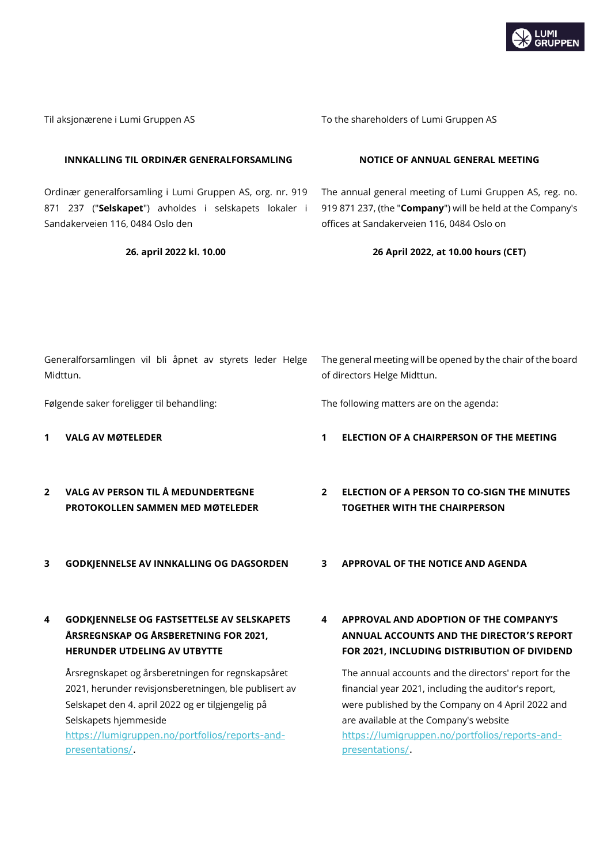

| Til aksjonærene i Lumi Gruppen AS                                                                                                                      |                                                                                                                                                                                                                                            |                                                                                             | To the shareholders of Lumi Gruppen AS                                                                                                                                                                                                                         |  |  |  |  |
|--------------------------------------------------------------------------------------------------------------------------------------------------------|--------------------------------------------------------------------------------------------------------------------------------------------------------------------------------------------------------------------------------------------|---------------------------------------------------------------------------------------------|----------------------------------------------------------------------------------------------------------------------------------------------------------------------------------------------------------------------------------------------------------------|--|--|--|--|
|                                                                                                                                                        | INNKALLING TIL ORDINÆR GENERALFORSAMLING                                                                                                                                                                                                   |                                                                                             | NOTICE OF ANNUAL GENERAL MEETING                                                                                                                                                                                                                               |  |  |  |  |
| Ordinær generalforsamling i Lumi Gruppen AS, org. nr. 919<br>871 237 ("Selskapet") avholdes i selskapets lokaler i<br>Sandakerveien 116, 0484 Oslo den |                                                                                                                                                                                                                                            |                                                                                             | The annual general meeting of Lumi Gruppen AS, reg. no.<br>919 871 237, (the "Company") will be held at the Company's<br>offices at Sandakerveien 116, 0484 Oslo on                                                                                            |  |  |  |  |
| 26. april 2022 kl. 10.00                                                                                                                               |                                                                                                                                                                                                                                            |                                                                                             | 26 April 2022, at 10.00 hours (CET)                                                                                                                                                                                                                            |  |  |  |  |
|                                                                                                                                                        |                                                                                                                                                                                                                                            |                                                                                             |                                                                                                                                                                                                                                                                |  |  |  |  |
|                                                                                                                                                        |                                                                                                                                                                                                                                            |                                                                                             |                                                                                                                                                                                                                                                                |  |  |  |  |
| Generalforsamlingen vil bli åpnet av styrets leder Helge<br>Midttun.                                                                                   |                                                                                                                                                                                                                                            | The general meeting will be opened by the chair of the board<br>of directors Helge Midttun. |                                                                                                                                                                                                                                                                |  |  |  |  |
|                                                                                                                                                        | Følgende saker foreligger til behandling:                                                                                                                                                                                                  |                                                                                             | The following matters are on the agenda:                                                                                                                                                                                                                       |  |  |  |  |
| 1                                                                                                                                                      | <b>VALG AV MØTELEDER</b>                                                                                                                                                                                                                   | 1                                                                                           | ELECTION OF A CHAIRPERSON OF THE MEETING                                                                                                                                                                                                                       |  |  |  |  |
| $\mathbf{2}$                                                                                                                                           | <b>VALG AV PERSON TIL Å MEDUNDERTEGNE</b><br>PROTOKOLLEN SAMMEN MED MØTELEDER                                                                                                                                                              | $\overline{2}$                                                                              | <b>ELECTION OF A PERSON TO CO-SIGN THE MINUTES</b><br><b>TOGETHER WITH THE CHAIRPERSON</b>                                                                                                                                                                     |  |  |  |  |
| 3                                                                                                                                                      | GODKJENNELSE AV INNKALLING OG DAGSORDEN                                                                                                                                                                                                    | 3.                                                                                          | <b>APPROVAL OF THE NOTICE AND AGENDA</b>                                                                                                                                                                                                                       |  |  |  |  |
|                                                                                                                                                        | <b>GODKJENNELSE OG FASTSETTELSE AV SELSKAPETS</b><br>ÅRSREGNSKAP OG ÅRSBERETNING FOR 2021,<br><b>HERUNDER UTDELING AV UTBYTTE</b>                                                                                                          | 4                                                                                           | APPROVAL AND ADOPTION OF THE COMPANY'S<br>ANNUAL ACCOUNTS AND THE DIRECTOR'S REPORT<br>FOR 2021, INCLUDING DISTRIBUTION OF DIVIDEND                                                                                                                            |  |  |  |  |
|                                                                                                                                                        | Årsregnskapet og årsberetningen for regnskapsåret<br>2021, herunder revisjonsberetningen, ble publisert av<br>Selskapet den 4. april 2022 og er tilgjengelig på<br>Selskapets hjemmeside<br>https://lumigruppen.no/portfolios/reports-and- |                                                                                             | The annual accounts and the directors' report for the<br>financial year 2021, including the auditor's report,<br>were published by the Company on 4 April 2022 and<br>are available at the Company's website<br>https://lumigruppen.no/portfolios/reports-and- |  |  |  |  |

[https://lumigruppen.no/portfolios/reports-and](https://lumigruppen.no/portfolios/reports-and-presentations/)[presentations/.](https://lumigruppen.no/portfolios/reports-and-presentations/)

[presentations/.](https://lumigruppen.no/portfolios/reports-and-presentations/)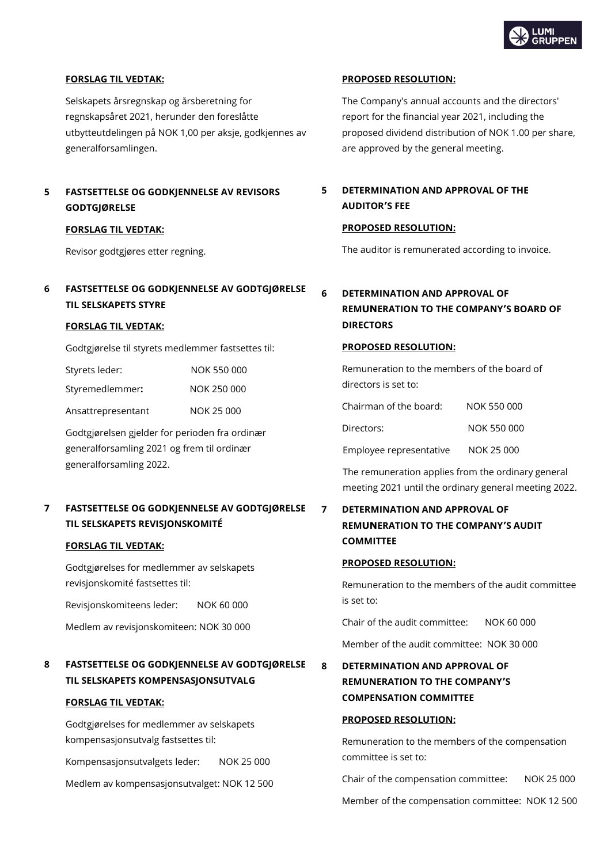

# **FORSLAG TIL VEDTAK:**

Selskapets årsregnskap og årsberetning for regnskapsåret 2021, herunder den foreslåtte utbytteutdelingen på NOK 1,00 per aksje, godkjennes av generalforsamlingen.

# **5 FASTSETTELSE OG GODKJENNELSE AV REVISORS GODTGJØRELSE**

### **FORSLAG TIL VEDTAK:**

Revisor godtgjøres etter regning.

# **6 FASTSETTELSE OG GODKJENNELSE AV GODTGJØRELSE TIL SELSKAPETS STYRE**

### **FORSLAG TIL VEDTAK:**

Godtgjørelse til styrets medlemmer fastsettes til:

| Styrets leder:     | NOK 550 000 |
|--------------------|-------------|
| Styremedlemmer:    | NOK 250 000 |
| Ansattrepresentant | NOK 25 000  |

Godtgjørelsen gjelder for perioden fra ordinær generalforsamling 2021 og frem til ordinær generalforsamling 2022.

# **7 FASTSETTELSE OG GODKJENNELSE AV GODTGJØRELSE TIL SELSKAPETS REVISJONSKOMITÉ**

### **FORSLAG TIL VEDTAK:**

Godtgjørelses for medlemmer av selskapets revisjonskomité fastsettes til:

Revisjonskomiteens leder: NOK 60 000

Medlem av revisjonskomiteen: NOK 30 000

# **8 FASTSETTELSE OG GODKJENNELSE AV GODTGJØRELSE TIL SELSKAPETS KOMPENSASJONSUTVALG**

### **FORSLAG TIL VEDTAK:**

Godtgjørelses for medlemmer av selskapets kompensasjonsutvalg fastsettes til:

Kompensasjonsutvalgets leder: NOK 25 000

Medlem av kompensasjonsutvalget: NOK 12 500

## **PROPOSED RESOLUTION:**

The Company's annual accounts and the directors' report for the financial year 2021, including the proposed dividend distribution of NOK 1.00 per share, are approved by the general meeting.

# **5 DETERMINATION AND APPROVAL OF THE AUDITOR'S FEE**

### **PROPOSED RESOLUTION:**

The auditor is remunerated according to invoice.

# **6 DETERMINATION AND APPROVAL OF REMUNERATION TO THE COMPANY'S BOARD OF DIRECTORS**

# **PROPOSED RESOLUTION:**

Remuneration to the members of the board of directors is set to:

| Chairman of the board:  | NOK 550 000 |
|-------------------------|-------------|
| Directors:              | NOK 550 000 |
| Employee representative | NOK 25 000  |

The remuneration applies from the ordinary general meeting 2021 until the ordinary general meeting 2022.

# **7 DETERMINATION AND APPROVAL OF REMUNERATION TO THE COMPANY'S AUDIT COMMITTEE**

## **PROPOSED RESOLUTION:**

Remuneration to the members of the audit committee is set to:

Chair of the audit committee: NOK 60 000

Member of the audit committee: NOK 30 000

**8 DETERMINATION AND APPROVAL OF REMUNERATION TO THE COMPANY'S COMPENSATION COMMITTEE**

## **PROPOSED RESOLUTION:**

Remuneration to the members of the compensation committee is set to:

Chair of the compensation committee: NOK 25 000

Member of the compensation committee: NOK 12 500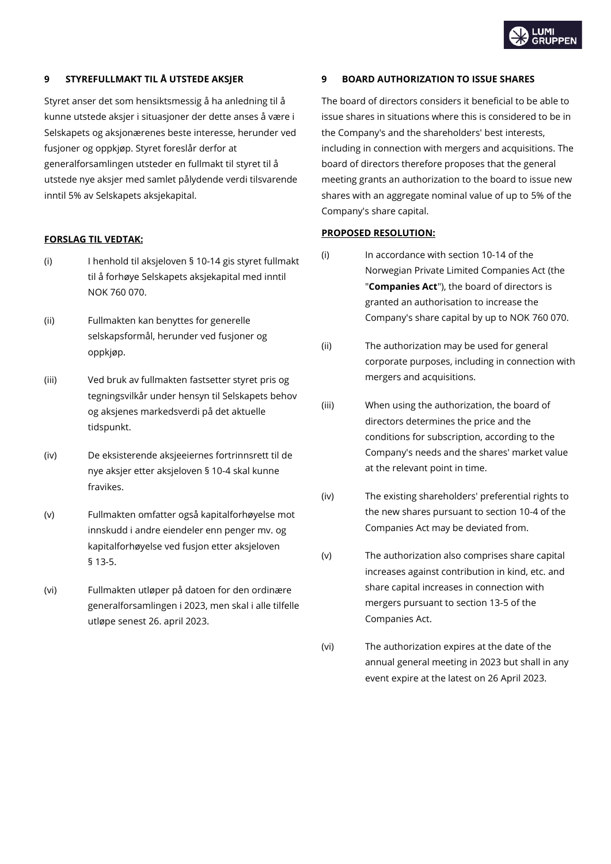# **9 STYREFULLMAKT TIL Å UTSTEDE AKSJER**

Styret anser det som hensiktsmessig å ha anledning til å kunne utstede aksjer i situasjoner der dette anses å være i Selskapets og aksjonærenes beste interesse, herunder ved fusjoner og oppkjøp. Styret foreslår derfor at generalforsamlingen utsteder en fullmakt til styret til å utstede nye aksjer med samlet pålydende verdi tilsvarende inntil 5% av Selskapets aksjekapital.

# **FORSLAG TIL VEDTAK:**

- (i) I henhold til aksjeloven § 10-14 gis styret fullmakt til å forhøye Selskapets aksjekapital med inntil NOK 760 070.
- (ii) Fullmakten kan benyttes for generelle selskapsformål, herunder ved fusjoner og oppkjøp.
- (iii) Ved bruk av fullmakten fastsetter styret pris og tegningsvilkår under hensyn til Selskapets behov og aksjenes markedsverdi på det aktuelle tidspunkt.
- (iv) De eksisterende aksjeeiernes fortrinnsrett til de nye aksjer etter aksjeloven § 10-4 skal kunne fravikes.
- (v) Fullmakten omfatter også kapitalforhøyelse mot innskudd i andre eiendeler enn penger mv. og kapitalforhøyelse ved fusjon etter aksjeloven § 13-5.
- (vi) Fullmakten utløper på datoen for den ordinære generalforsamlingen i 2023, men skal i alle tilfelle utløpe senest 26. april 2023.

# **9 BOARD AUTHORIZATION TO ISSUE SHARES**

The board of directors considers it beneficial to be able to issue shares in situations where this is considered to be in the Company's and the shareholders' best interests, including in connection with mergers and acquisitions. The board of directors therefore proposes that the general meeting grants an authorization to the board to issue new shares with an aggregate nominal value of up to 5% of the Company's share capital.

## **PROPOSED RESOLUTION:**

- (i) In accordance with section 10-14 of the Norwegian Private Limited Companies Act (the "**Companies Act**"), the board of directors is granted an authorisation to increase the Company's share capital by up to NOK 760 070.
- (ii) The authorization may be used for general corporate purposes, including in connection with mergers and acquisitions.
- (iii) When using the authorization, the board of directors determines the price and the conditions for subscription, according to the Company's needs and the shares' market value at the relevant point in time.
- (iv) The existing shareholders' preferential rights to the new shares pursuant to section 10-4 of the Companies Act may be deviated from.
- (v) The authorization also comprises share capital increases against contribution in kind, etc. and share capital increases in connection with mergers pursuant to section 13-5 of the Companies Act.
- (vi) The authorization expires at the date of the annual general meeting in 2023 but shall in any event expire at the latest on 26 April 2023.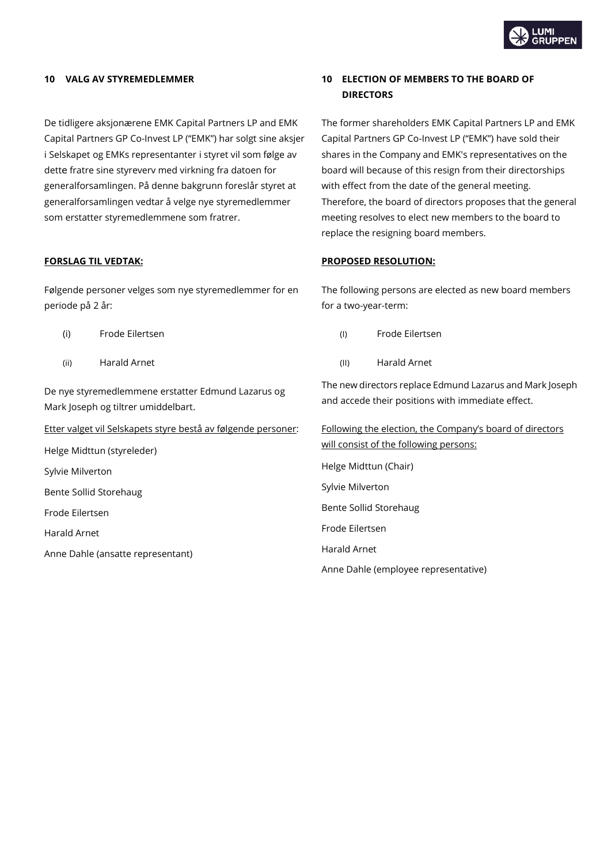

De tidligere aksjonærene EMK Capital Partners LP and EMK Capital Partners GP Co-Invest LP ("EMK") har solgt sine aksjer i Selskapet og EMKs representanter i styret vil som følge av dette fratre sine styreverv med virkning fra datoen for generalforsamlingen. På denne bakgrunn foreslår styret at generalforsamlingen vedtar å velge nye styremedlemmer som erstatter styremedlemmene som fratrer.

Følgende personer velges som nye styremedlemmer for en periode på 2 år:

- (i) Frode Eilertsen (I) Frode Eilertsen
- 

De nye styremedlemmene erstatter Edmund Lazarus og Mark Joseph og tiltrer umiddelbart.

Etter valget vil Selskapets styre bestå av følgende personer:

Helge Midttun (styreleder) Sylvie Milverton Bente Sollid Storehaug Frode Eilertsen Harald Arnet Anne Dahle (ansatte representant)

# **10 VALG AV STYREMEDLEMMER 10 ELECTION OF MEMBERS TO THE BOARD OF DIRECTORS**

The former shareholders EMK Capital Partners LP and EMK Capital Partners GP Co-Invest LP ("EMK") have sold their shares in the Company and EMK's representatives on the board will because of this resign from their directorships with effect from the date of the general meeting. Therefore, the board of directors proposes that the general meeting resolves to elect new members to the board to replace the resigning board members.

## **FORSLAG TIL VEDTAK: PROPOSED RESOLUTION:**

The following persons are elected as new board members for a two-year-term:

- 
- (ii) Harald Arnet (II) Harald Arnet

The new directors replace Edmund Lazarus and Mark Joseph and accede their positions with immediate effect.

Following the election, the Company's board of directors will consist of the following persons: Helge Midttun (Chair) Sylvie Milverton Bente Sollid Storehaug Frode Eilertsen Harald Arnet

Anne Dahle (employee representative)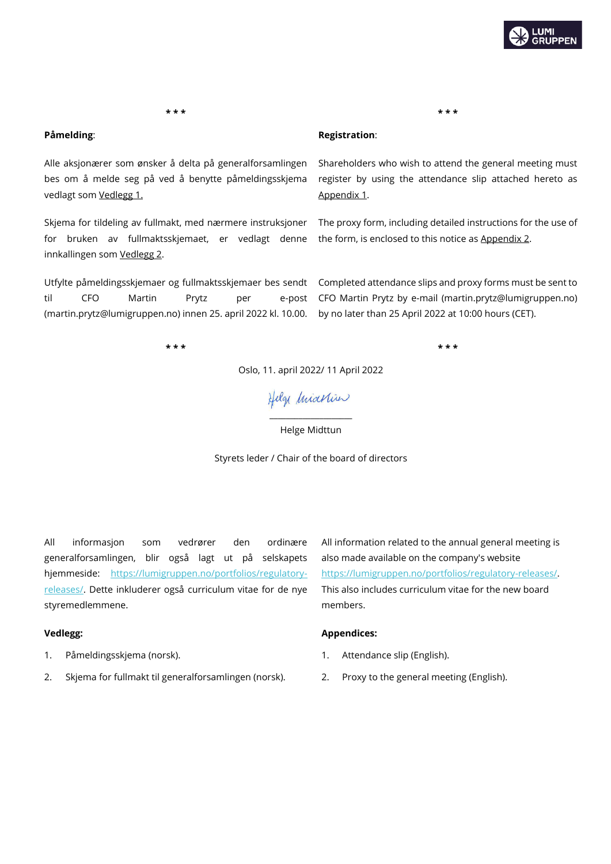

**\* \* \* \* \* \***

Alle aksjonærer som ønsker å delta på generalforsamlingen bes om å melde seg på ved å benytte påmeldingsskjema vedlagt som Vedlegg 1.

Skjema for tildeling av fullmakt, med nærmere instruksjoner for bruken av fullmaktsskjemaet, er vedlagt denne innkallingen som Vedlegg 2.

Utfylte påmeldingsskjemaer og fullmaktsskjemaer bes sendt til CFO Martin Prytz per e-post (martin.prytz@lumigruppen.no) innen 25. april 2022 kl. 10.00.

**\* \* \* \* \* \***

**Påmelding**: **Registration**:

Shareholders who wish to attend the general meeting must register by using the attendance slip attached hereto as Appendix 1.

The proxy form, including detailed instructions for the use of the form, is enclosed to this notice as Appendix 2.

Completed attendance slips and proxy forms must be sent to CFO Martin Prytz by e-mail (martin.prytz@lumigruppen.no) by no later than 25 April 2022 at 10:00 hours (CET).

Oslo, 11. april 2022/ 11 April 2022

Helg *Iniartin* 

Helge Midttun

Styrets leder / Chair of the board of directors

All informasjon som vedrører den ordinære generalforsamlingen, blir også lagt ut på selskapets hjemmeside: [https://lumigruppen.no/portfolios/regulatory](https://lumigruppen.no/portfolios/regulatory-releases/)[releases/.](https://lumigruppen.no/portfolios/regulatory-releases/) Dette inkluderer også curriculum vitae for de nye styremedlemmene.

- 
- 2. Skjema for fullmakt til generalforsamlingen (norsk). 2. Proxy to the general meeting (English).

All information related to the annual general meeting is also made available on the company's website [https://lumigruppen.no/portfolios/regulatory-releases/.](https://lumigruppen.no/portfolios/regulatory-releases/) This also includes curriculum vitae for the new board members.

# **Vedlegg: Appendices:**

- 1. Påmeldingsskjema (norsk). 1. Attendance slip (English).
	-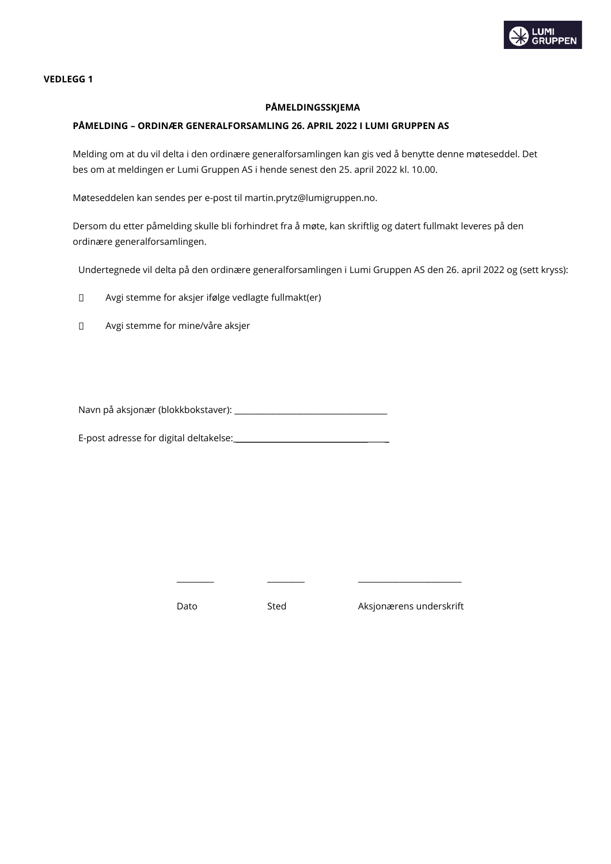

## **VEDLEGG 1**

# **PÅMELDINGSSKJEMA**

## **PÅMELDING – ORDINÆR GENERALFORSAMLING 26. APRIL 2022 I LUMI GRUPPEN AS**

Melding om at du vil delta i den ordinære generalforsamlingen kan gis ved å benytte denne møteseddel. Det bes om at meldingen er Lumi Gruppen AS i hende senest den 25. april 2022 kl. 10.00.

Møteseddelen kan sendes per e-post til martin.prytz@lumigruppen.no.

Dersom du etter påmelding skulle bli forhindret fra å møte, kan skriftlig og datert fullmakt leveres på den ordinære generalforsamlingen.

Undertegnede vil delta på den ordinære generalforsamlingen i Lumi Gruppen AS den 26. april 2022 og (sett kryss):

 $\Box$ Avgi stemme for aksjer ifølge vedlagte fullmakt(er)

 $\Box$ Avgi stemme for mine/våre aksjer

Navn på aksjonær (blokkbokstaver): \_\_\_\_\_\_\_\_\_\_\_\_\_\_\_\_\_\_\_\_\_\_\_\_\_\_\_\_\_\_\_\_\_\_\_\_\_

E-post adresse for digital deltakelse:

Dato Sted Aksjonærens underskrift

\_\_\_\_\_\_\_\_\_ \_\_\_\_\_\_\_\_\_ \_\_\_\_\_\_\_\_\_\_\_\_\_\_\_\_\_\_\_\_\_\_\_\_\_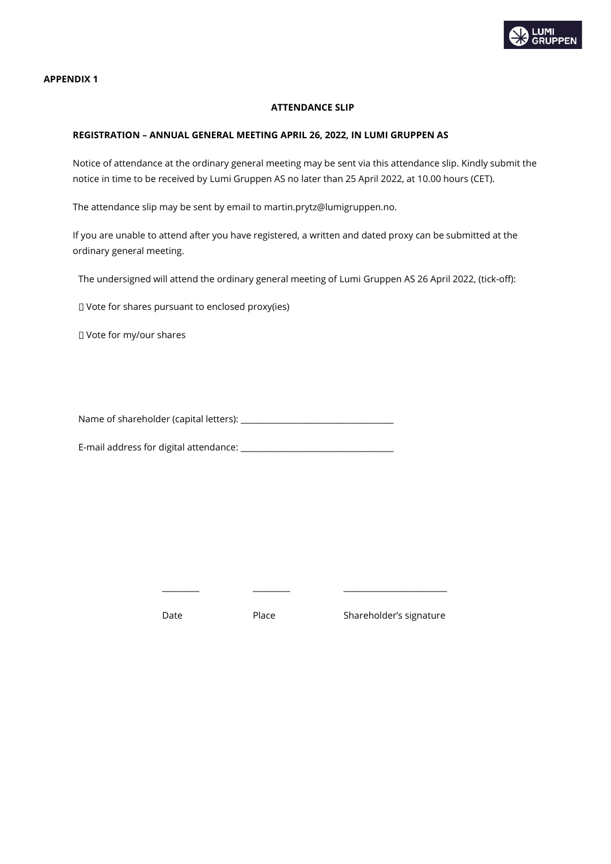

**APPENDIX 1**

# **ATTENDANCE SLIP**

# **REGISTRATION – ANNUAL GENERAL MEETING APRIL 26, 2022, IN LUMI GRUPPEN AS**

Notice of attendance at the ordinary general meeting may be sent via this attendance slip. Kindly submit the notice in time to be received by Lumi Gruppen AS no later than 25 April 2022, at 10.00 hours (CET).

The attendance slip may be sent by email to martin.prytz@lumigruppen.no.

If you are unable to attend after you have registered, a written and dated proxy can be submitted at the ordinary general meeting.

The undersigned will attend the ordinary general meeting of Lumi Gruppen AS 26 April 2022, (tick-off):

Vote for shares pursuant to enclosed proxy(ies)

Vote for my/our shares

Name of shareholder (capital letters): \_\_\_\_\_\_\_\_\_\_\_\_\_\_\_\_\_\_\_\_\_\_\_\_\_\_\_\_\_\_\_\_\_\_\_\_\_

E-mail address for digital attendance: \_\_\_\_\_\_\_\_\_\_\_\_\_\_\_\_\_\_\_\_\_\_\_\_\_\_\_\_\_\_\_\_\_\_\_\_\_

\_\_\_\_\_\_\_\_\_ \_\_\_\_\_\_\_\_\_ \_\_\_\_\_\_\_\_\_\_\_\_\_\_\_\_\_\_\_\_\_\_\_\_\_

Date Place Shareholder's signature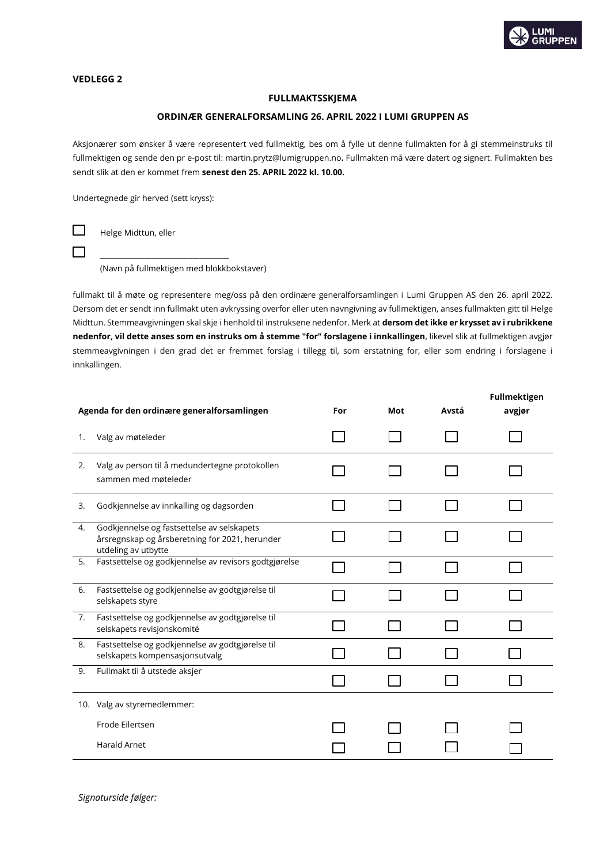

## **VEDLEGG 2**

 $\Box$ 

 $\Box$ 

## **FULLMAKTSSKJEMA**

### **ORDINÆR GENERALFORSAMLING 26. APRIL 2022 I LUMI GRUPPEN AS**

Aksjonærer som ønsker å være representert ved fullmektig, bes om å fylle ut denne fullmakten for å gi stemmeinstruks til fullmektigen og sende den pr e-post til: martin.prytz@lumigruppen.no**.** Fullmakten må være datert og signert. Fullmakten bes sendt slik at den er kommet frem **senest den 25. APRIL 2022 kl. 10.00.**

Undertegnede gir herved (sett kryss):

Helge Midttun, eller

\_\_\_\_\_\_\_\_\_\_\_\_\_\_\_\_\_\_\_\_\_\_\_\_\_\_\_\_\_\_\_\_\_\_\_ (Navn på fullmektigen med blokkbokstaver)

fullmakt til å møte og representere meg/oss på den ordinære generalforsamlingen i Lumi Gruppen AS den 26. april 2022. Dersom det er sendt inn fullmakt uten avkryssing overfor eller uten navngivning av fullmektigen, anses fullmakten gitt til Helge Midttun. Stemmeavgivningen skal skje i henhold til instruksene nedenfor. Merk at **dersom det ikke er krysset av i rubrikkene nedenfor, vil dette anses som en instruks om å stemme "for" forslagene i innkallingen**, likevel slik at fullmektigen avgjør stemmeavgivningen i den grad det er fremmet forslag i tillegg til, som erstatning for, eller som endring i forslagene i innkallingen.

| Agenda for den ordinære generalforsamlingen |                                                                                                                     | For | Mot | Avstå | <b>Fullmektigen</b><br>avgjør |
|---------------------------------------------|---------------------------------------------------------------------------------------------------------------------|-----|-----|-------|-------------------------------|
| 1.                                          | Valg av møteleder                                                                                                   |     |     |       |                               |
| 2.                                          | Valg av person til å medundertegne protokollen<br>sammen med møteleder                                              |     |     |       |                               |
| 3.                                          | Godkjennelse av innkalling og dagsorden                                                                             |     |     |       |                               |
| 4.                                          | Godkjennelse og fastsettelse av selskapets<br>årsregnskap og årsberetning for 2021, herunder<br>utdeling av utbytte |     |     |       |                               |
| 5.                                          | Fastsettelse og godkjennelse av revisors godtgjørelse                                                               |     |     |       |                               |
| 6.                                          | Fastsettelse og godkjennelse av godtgjørelse til<br>selskapets styre                                                |     |     |       |                               |
| 7.                                          | Fastsettelse og godkjennelse av godtgjørelse til<br>selskapets revisjonskomité                                      |     |     |       |                               |
| 8.                                          | Fastsettelse og godkjennelse av godtgjørelse til<br>selskapets kompensasjonsutvalg                                  |     |     |       |                               |
| 9.                                          | Fullmakt til å utstede aksjer                                                                                       |     |     |       |                               |
|                                             | 10. Valg av styremedlemmer:                                                                                         |     |     |       |                               |
|                                             | Frode Eilertsen                                                                                                     |     |     |       |                               |
|                                             | <b>Harald Arnet</b>                                                                                                 |     |     |       |                               |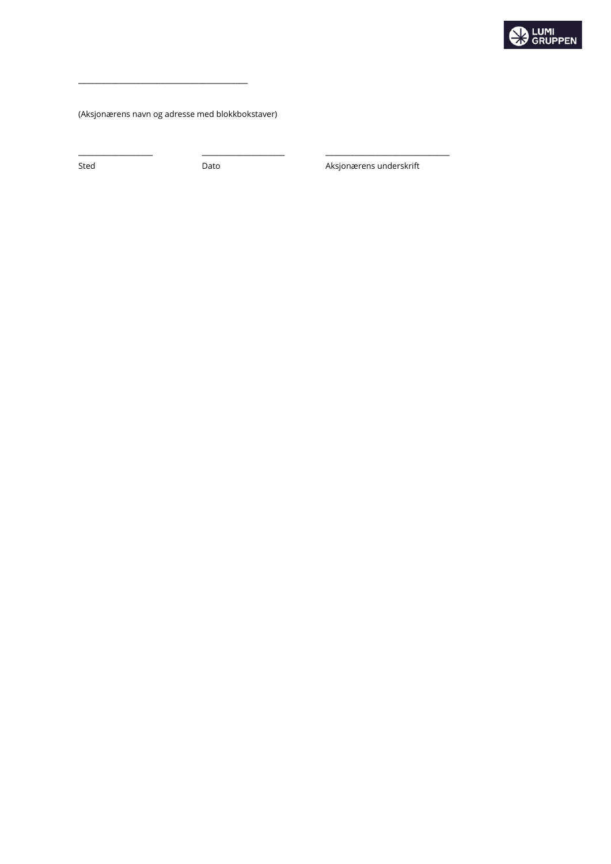

(Aksjonærens navn og adresse med blokkbokstaver)

\_\_\_\_\_\_\_\_\_\_\_\_\_\_\_\_\_\_\_\_\_\_\_\_\_\_\_\_\_\_\_\_\_\_\_\_\_\_\_\_\_

\_\_\_\_\_\_\_\_\_\_\_\_\_\_\_\_\_\_ \_\_\_\_\_\_\_\_\_\_\_\_\_\_\_\_\_\_\_\_ \_\_\_\_\_\_\_\_\_\_\_\_\_\_\_\_\_\_\_\_\_\_\_\_\_\_\_\_\_\_

Sted **Dato** Dato **Constanting Dato** Aksjonærens underskrift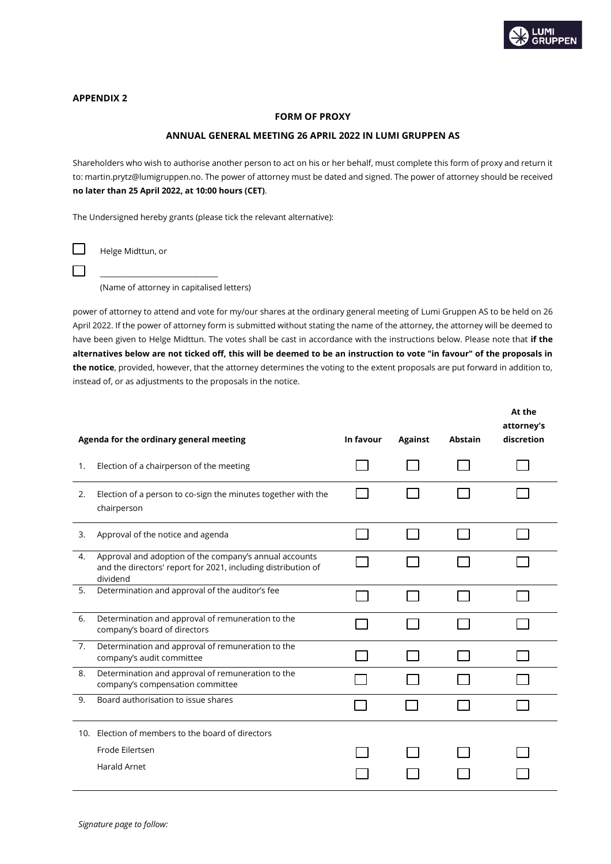

# **APPENDIX 2**

## **FORM OF PROXY**

## **ANNUAL GENERAL MEETING 26 APRIL 2022 IN LUMI GRUPPEN AS**

Shareholders who wish to authorise another person to act on his or her behalf, must complete this form of proxy and return it to: martin.prytz@lumigruppen.no. The power of attorney must be dated and signed. The power of attorney should be received **no later than 25 April 2022, at 10:00 hours (CET)**.

The Undersigned hereby grants (please tick the relevant alternative):

Helge Midttun, or

 $\Box$ 

 $\Box$ 

\_\_\_\_\_\_\_\_\_\_\_\_\_\_\_\_\_\_\_\_\_\_\_\_\_\_\_\_\_\_\_\_

(Name of attorney in capitalised letters)

power of attorney to attend and vote for my/our shares at the ordinary general meeting of Lumi Gruppen AS to be held on 26 April 2022. If the power of attorney form is submitted without stating the name of the attorney, the attorney will be deemed to have been given to Helge Midttun. The votes shall be cast in accordance with the instructions below. Please note that **if the alternatives below are not ticked off, this will be deemed to be an instruction to vote "in favour" of the proposals in the notice**, provided, however, that the attorney determines the voting to the extent proposals are put forward in addition to, instead of, or as adjustments to the proposals in the notice.

|    | Agenda for the ordinary general meeting                                                                                             | In favour | <b>Against</b> | <b>Abstain</b> | At the<br>attorney's<br>discretion |
|----|-------------------------------------------------------------------------------------------------------------------------------------|-----------|----------------|----------------|------------------------------------|
| 1. | Election of a chairperson of the meeting                                                                                            |           |                |                |                                    |
| 2. | Election of a person to co-sign the minutes together with the<br>chairperson                                                        |           |                |                |                                    |
| 3. | Approval of the notice and agenda                                                                                                   |           |                |                |                                    |
| 4. | Approval and adoption of the company's annual accounts<br>and the directors' report for 2021, including distribution of<br>dividend |           |                |                |                                    |
| 5. | Determination and approval of the auditor's fee                                                                                     |           |                |                |                                    |
| 6. | Determination and approval of remuneration to the<br>company's board of directors                                                   |           |                |                |                                    |
| 7. | Determination and approval of remuneration to the<br>company's audit committee                                                      |           |                |                |                                    |
| 8. | Determination and approval of remuneration to the<br>company's compensation committee                                               |           |                |                |                                    |
| 9. | Board authorisation to issue shares                                                                                                 |           |                |                |                                    |
|    | 10. Election of members to the board of directors                                                                                   |           |                |                |                                    |
|    | Frode Eilertsen                                                                                                                     |           |                |                |                                    |
|    | <b>Harald Arnet</b>                                                                                                                 |           |                |                |                                    |